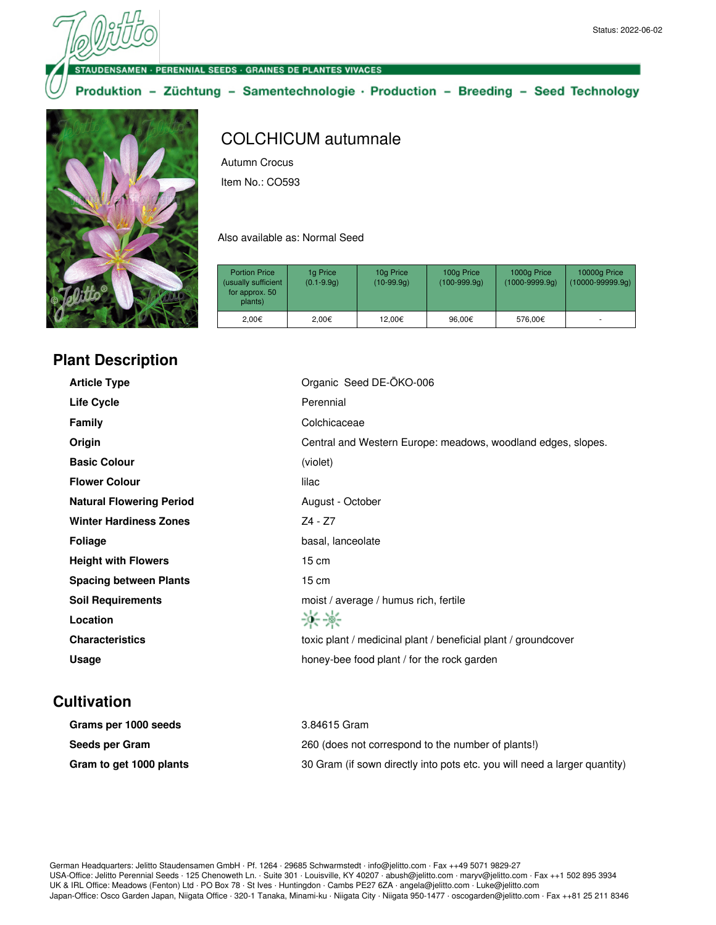ENSAMEN · PERENNIAL SEEDS · GRAINES DE PLANTES VIVACES

Produktion - Züchtung - Samentechnologie · Production - Breeding - Seed Technology



## **Plant Description**

## COLCHICUM autumnale

Autumn Crocus Item No.: CO593

Also available as: Normal Seed

| <b>Portion Price</b><br>(usually sufficient<br>for approx. 50<br>plants) | 1g Price<br>$(0.1 - 9.9q)$ | 10g Price<br>$(10-99.9q)$ | 100g Price<br>$(100-999.9q)$ | 1000g Price<br>$(1000 - 9999.9q)$ | 10000g Price<br>$(10000 - 99999.9q)$ |
|--------------------------------------------------------------------------|----------------------------|---------------------------|------------------------------|-----------------------------------|--------------------------------------|
| 2.00€                                                                    | 2.00€                      | 12.00€                    | 96.00€                       | 576,00€                           |                                      |

| <b>Article Type</b>             | Organic Seed DE-ÖKO-006                                        |
|---------------------------------|----------------------------------------------------------------|
| <b>Life Cycle</b>               | Perennial                                                      |
| <b>Family</b>                   | Colchicaceae                                                   |
| Origin                          | Central and Western Europe: meadows, woodland edges, slopes.   |
| <b>Basic Colour</b>             | (violet)                                                       |
| <b>Flower Colour</b>            | lilac                                                          |
| <b>Natural Flowering Period</b> | August - October                                               |
| <b>Winter Hardiness Zones</b>   | Z4 - Z7                                                        |
| <b>Foliage</b>                  | basal, lanceolate                                              |
| <b>Height with Flowers</b>      | $15 \text{ cm}$                                                |
| <b>Spacing between Plants</b>   | $15 \text{ cm}$                                                |
| <b>Soil Requirements</b>        | moist / average / humus rich, fertile                          |
| Location                        | 米米                                                             |
| <b>Characteristics</b>          | toxic plant / medicinal plant / beneficial plant / groundcover |
| Usage                           | honey-bee food plant / for the rock garden                     |

## **Cultivation**

| Grams per 1000 seeds    | 3.84615 Gram                                                              |
|-------------------------|---------------------------------------------------------------------------|
| Seeds per Gram          | 260 (does not correspond to the number of plants!)                        |
| Gram to get 1000 plants | 30 Gram (if sown directly into pots etc. you will need a larger quantity) |